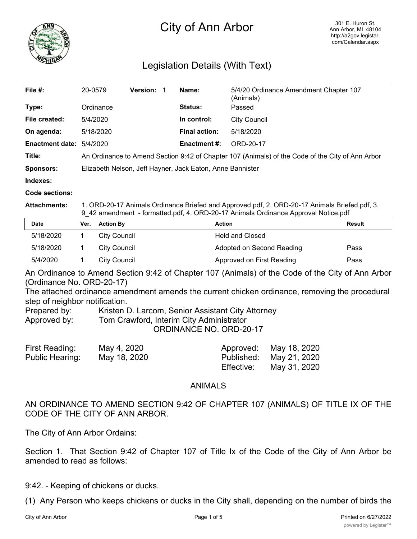

## City of Ann Arbor

## Legislation Details (With Text)

| File #:                  | 20-0579                                                                                          | <b>Version:</b> |  | Name:                | 5/4/20 Ordinance Amendment Chapter 107<br>(Animals) |
|--------------------------|--------------------------------------------------------------------------------------------------|-----------------|--|----------------------|-----------------------------------------------------|
| Type:                    | Ordinance                                                                                        |                 |  | <b>Status:</b>       | Passed                                              |
| File created:            | 5/4/2020                                                                                         |                 |  | In control:          | City Council                                        |
| On agenda:               | 5/18/2020                                                                                        |                 |  | <b>Final action:</b> | 5/18/2020                                           |
| Enactment date: 5/4/2020 |                                                                                                  |                 |  | <b>Enactment #:</b>  | ORD-20-17                                           |
| Title:                   | An Ordinance to Amend Section 9:42 of Chapter 107 (Animals) of the Code of the City of Ann Arbor |                 |  |                      |                                                     |
| <b>Sponsors:</b>         | Elizabeth Nelson, Jeff Hayner, Jack Eaton, Anne Bannister                                        |                 |  |                      |                                                     |
| Indexes:                 |                                                                                                  |                 |  |                      |                                                     |
| .                        |                                                                                                  |                 |  |                      |                                                     |

**Code sections:**

**Attachments:** 1. ORD-20-17 Animals Ordinance Briefed and Approved.pdf, 2. ORD-20-17 Animals Briefed.pdf, 3. 9\_42 amendment - formatted.pdf, 4. ORD-20-17 Animals Ordinance Approval Notice.pdf

| <b>Date</b> | Ver. | <b>Action By</b> | Action                    | Result |
|-------------|------|------------------|---------------------------|--------|
| 5/18/2020   |      | City Council     | <b>Held and Closed</b>    |        |
| 5/18/2020   |      | City Council     | Adopted on Second Reading | Pass   |
| 5/4/2020    |      | City Council     | Approved on First Reading | Pass   |

An Ordinance to Amend Section 9:42 of Chapter 107 (Animals) of the Code of the City of Ann Arbor (Ordinance No. ORD-20-17)

The attached ordinance amendment amends the current chicken ordinance, removing the procedural step of neighbor notification.

Prepared by: Kristen D. Larcom, Senior Assistant City Attorney

Approved by: Tom Crawford, Interim City Administrator

ORDINANCE NO. ORD-20-17

| First Reading:  | May 4, 2020  |            | Approved: May 18, 2020  |
|-----------------|--------------|------------|-------------------------|
| Public Hearing: | May 18, 2020 |            | Published: May 21, 2020 |
|                 |              | Effective: | May 31, 2020            |

## ANIMALS

AN ORDINANCE TO AMEND SECTION 9:42 OF CHAPTER 107 (ANIMALS) OF TITLE IX OF THE CODE OF THE CITY OF ANN ARBOR.

The City of Ann Arbor Ordains:

Section 1. That Section 9:42 of Chapter 107 of Title Ix of the Code of the City of Ann Arbor be amended to read as follows:

9:42. - Keeping of chickens or ducks.

(1) Any Person who keeps chickens or ducks in the City shall, depending on the number of birds the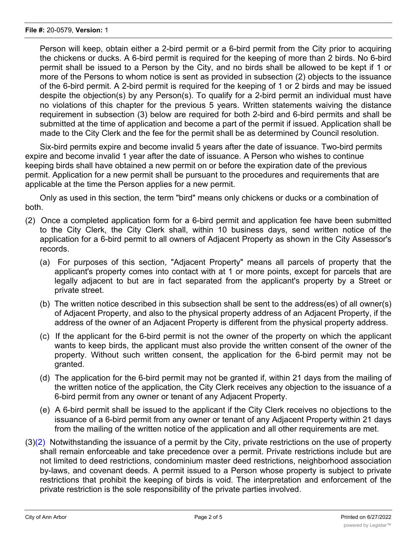Person will keep, obtain either a 2-bird permit or a 6-bird permit from the City prior to acquiring the chickens or ducks. A 6-bird permit is required for the keeping of more than 2 birds. No 6-bird permit shall be issued to a Person by the City, and no birds shall be allowed to be kept if 1 or more of the Persons to whom notice is sent as provided in subsection (2) objects to the issuance of the 6-bird permit. A 2-bird permit is required for the keeping of 1 or 2 birds and may be issued despite the objection(s) by any Person(s). To qualify for a 2-bird permit an individual must have no violations of this chapter for the previous 5 years. Written statements waiving the distance requirement in subsection (3) below are required for both 2-bird and 6-bird permits and shall be submitted at the time of application and become a part of the permit if issued. Application shall be made to the City Clerk and the fee for the permit shall be as determined by Council resolution.

Six-bird permits expire and become invalid 5 years after the date of issuance. Two-bird permits expire and become invalid 1 year after the date of issuance. A Person who wishes to continue keeping birds shall have obtained a new permit on or before the expiration date of the previous permit. Application for a new permit shall be pursuant to the procedures and requirements that are applicable at the time the Person applies for a new permit.

Only as used in this section, the term "bird" means only chickens or ducks or a combination of both.

- (2) Once a completed application form for a 6-bird permit and application fee have been submitted to the City Clerk, the City Clerk shall, within 10 business days, send written notice of the application for a 6-bird permit to all owners of Adjacent Property as shown in the City Assessor's records.
	- (a) For purposes of this section, "Adjacent Property" means all parcels of property that the applicant's property comes into contact with at 1 or more points, except for parcels that are legally adjacent to but are in fact separated from the applicant's property by a Street or private street.
	- (b) The written notice described in this subsection shall be sent to the address(es) of all owner(s) of Adjacent Property, and also to the physical property address of an Adjacent Property, if the address of the owner of an Adjacent Property is different from the physical property address.
	- (c) If the applicant for the 6-bird permit is not the owner of the property on which the applicant wants to keep birds, the applicant must also provide the written consent of the owner of the property. Without such written consent, the application for the 6-bird permit may not be granted.
	- (d) The application for the 6-bird permit may not be granted if, within 21 days from the mailing of the written notice of the application, the City Clerk receives any objection to the issuance of a 6-bird permit from any owner or tenant of any Adjacent Property.
	- (e) A 6-bird permit shall be issued to the applicant if the City Clerk receives no objections to the issuance of a 6-bird permit from any owner or tenant of any Adjacent Property within 21 days from the mailing of the written notice of the application and all other requirements are met.
- $(3)(2)$  Notwithstanding the issuance of a permit by the City, private restrictions on the use of property shall remain enforceable and take precedence over a permit. Private restrictions include but are not limited to deed restrictions, condominium master deed restrictions, neighborhood association by-laws, and covenant deeds. A permit issued to a Person whose property is subject to private restrictions that prohibit the keeping of birds is void. The interpretation and enforcement of the private restriction is the sole responsibility of the private parties involved.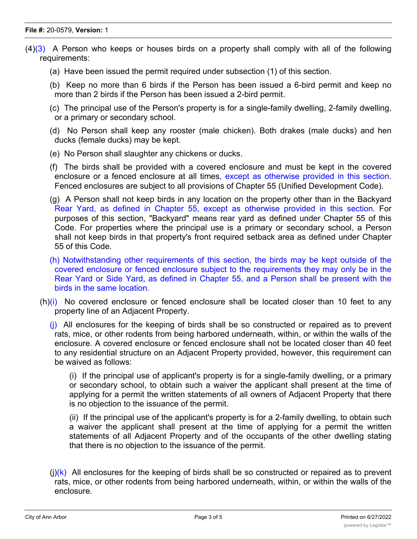- $(4)(3)$  A Person who keeps or houses birds on a property shall comply with all of the following requirements:
	- (a) Have been issued the permit required under subsection (1) of this section.
	- (b) Keep no more than 6 birds if the Person has been issued a 6-bird permit and keep no more than 2 birds if the Person has been issued a 2-bird permit.
	- (c) The principal use of the Person's property is for a single-family dwelling, 2-family dwelling, or a primary or secondary school.
	- (d) No Person shall keep any rooster (male chicken). Both drakes (male ducks) and hen ducks (female ducks) may be kept.
	- (e) No Person shall slaughter any chickens or ducks.
	- (f) The birds shall be provided with a covered enclosure and must be kept in the covered enclosure or a fenced enclosure at all times, except as otherwise provided in this section. Fenced enclosures are subject to all provisions of Chapter 55 (Unified Development Code).
	- (g) A Person shall not keep birds in any location on the property other than in the Backyard Rear Yard, as defined in Chapter 55, except as otherwise provided in this section. For purposes of this section, "Backyard" means rear yard as defined under Chapter 55 of this Code. For properties where the principal use is a primary or secondary school, a Person shall not keep birds in that property's front required setback area as defined under Chapter 55 of this Code.
	- (h) Notwithstanding other requirements of this section, the birds may be kept outside of the covered enclosure or fenced enclosure subject to the requirements they may only be in the Rear Yard or Side Yard, as defined in Chapter 55, and a Person shall be present with the birds in the same location.
	- $(h)(i)$  No covered enclosure or fenced enclosure shall be located closer than 10 feet to any property line of an Adjacent Property.
		- $(i)$  All enclosures for the keeping of birds shall be so constructed or repaired as to prevent rats, mice, or other rodents from being harbored underneath, within, or within the walls of the enclosure. A covered enclosure or fenced enclosure shall not be located closer than 40 feet to any residential structure on an Adjacent Property provided, however, this requirement can be waived as follows:

(i) If the principal use of applicant's property is for a single-family dwelling, or a primary or secondary school, to obtain such a waiver the applicant shall present at the time of applying for a permit the written statements of all owners of Adjacent Property that there is no objection to the issuance of the permit.

(ii) If the principal use of the applicant's property is for a 2-family dwelling, to obtain such a waiver the applicant shall present at the time of applying for a permit the written statements of all Adjacent Property and of the occupants of the other dwelling stating that there is no objection to the issuance of the permit.

 $(i)(k)$  All enclosures for the keeping of birds shall be so constructed or repaired as to prevent rats, mice, or other rodents from being harbored underneath, within, or within the walls of the enclosure.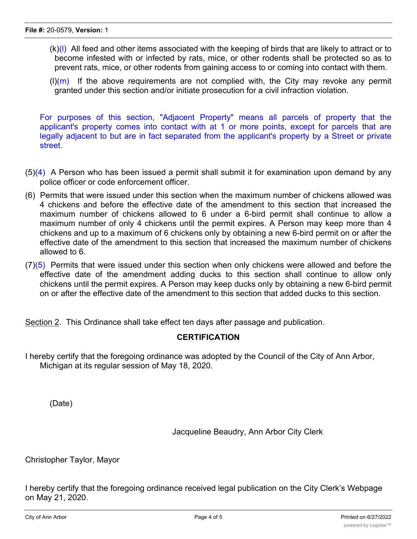- $(k)(l)$  All feed and other items associated with the keeping of birds that are likely to attract or to become infested with or infected by rats, mice, or other rodents shall be protected so as to prevent rats, mice, or other rodents from gaining access to or coming into contact with them.
- $(l)(m)$  If the above requirements are not complied with, the City may revoke any permit granted under this section and/or initiate prosecution for a civil infraction violation.

For purposes of this section, "Adjacent Property" means all parcels of property that the applicant's property comes into contact with at 1 or more points, except for parcels that are legally adjacent to but are in fact separated from the applicant's property by a Street or private street.

- $(5)(4)$  A Person who has been issued a permit shall submit it for examination upon demand by any police officer or code enforcement officer.
- (6) Permits that were issued under this section when the maximum number of chickens allowed was 4 chickens and before the effective date of the amendment to this section that increased the maximum number of chickens allowed to 6 under a 6-bird permit shall continue to allow a maximum number of only 4 chickens until the permit expires. A Person may keep more than 4 chickens and up to a maximum of 6 chickens only by obtaining a new 6-bird permit on or after the effective date of the amendment to this section that increased the maximum number of chickens allowed to 6.
- $(7)(5)$  Permits that were issued under this section when only chickens were allowed and before the effective date of the amendment adding ducks to this section shall continue to allow only chickens until the permit expires. A Person may keep ducks only by obtaining a new 6-bird permit on or after the effective date of the amendment to this section that added ducks to this section.

Section 2. This Ordinance shall take effect ten days after passage and publication.

## **CERTIFICATION**

I hereby certify that the foregoing ordinance was adopted by the Council of the City of Ann Arbor, Michigan at its regular session of May 18, 2020.

(Date)

Jacqueline Beaudry, Ann Arbor City Clerk

Christopher Taylor, Mayor

I hereby certify that the foregoing ordinance received legal publication on the City Clerk's Webpage on May 21, 2020.